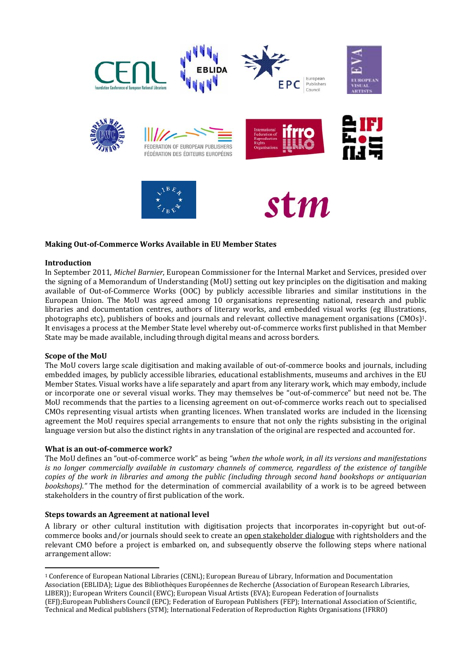

# **Making OutofCommerce Works Available in EU Member States**

### **Introduction**

In September 2011, *Michel Barnier*, European Commissioner for the Internal Market and Services, presided over the signing of a Memorandum of Understanding (MoU) setting out key principles on the digitisation and making available of Out‐of‐Commerce Works (OOC) by publicly accessible libraries and similar institutions in the European Union. The MoU was agreed among 10 organisations representing national, research and public libraries and documentation centres, authors of literary works, and embedded visual works (eg illustrations, photographs etc), publishers of books and journals and relevant collective management organisations (CMOs)1. It envisages a process at the Member State level whereby out‐of‐commerce works first published in that Member State may be made available, including through digital means and across borders.

### **Scope of the MoU**

The MoU covers large scale digitisation and making available of out‐of‐commerce books and journals, including embedded images, by publicly accessible libraries, educational establishments, museums and archives in the EU Member States. Visual works have a life separately and apart from any literary work, which may embody, include or incorporate one or several visual works. They may themselves be "out‐of‐commerce" but need not be. The MoU recommends that the parties to a licensing agreement on out-of-commerce works reach out to specialised CMOs representing visual artists when granting licences. When translated works are included in the licensing agreement the MoU requires special arrangements to ensure that not only the rights subsisting in the original language version but also the distinct rights in any translation of the original are respected and accounted for.

#### **What is an outofcommerce work?**

The MoU defines an "out‐of‐commerce work" as being *"when the whole work, in all its versions and manifestations is no longer commercially available in customary channels of commerce, regardless of the existence of tangible* copies of the work in libraries and among the public (including through second hand bookshops or antiquarian *bookshops).*" The method for the determination of commercial availability of a work is to be agreed between stakeholders in the country of first publication of the work.

### **Steps towards an Agreement at national level**

A library or other cultural institution with digitisation projects that incorporates in‐copyright but out‐of‐ commerce books and/or journals should seek to create an open stakeholder dialogue with rightsholders and the relevant CMO before a project is embarked on, and subsequently observe the following steps where national arrangement allow:

 1 Conference of European National Libraries (CENL); European Bureau of Library, Information and Documentation Association (EBLIDA); Ligue des Bibliothèques Européennes de Recherche (Association of European Research Libraries, LIBER)); European Writers Council (EWC); European Visual Artists (EVA); European Federation of Journalists (EFJ);European Publishers Council (EPC); Federation of European Publishers (FEP); International Association of Scientific, Technical and Medical publishers (STM); International Federation of Reproduction Rights Organisations (IFRRO)